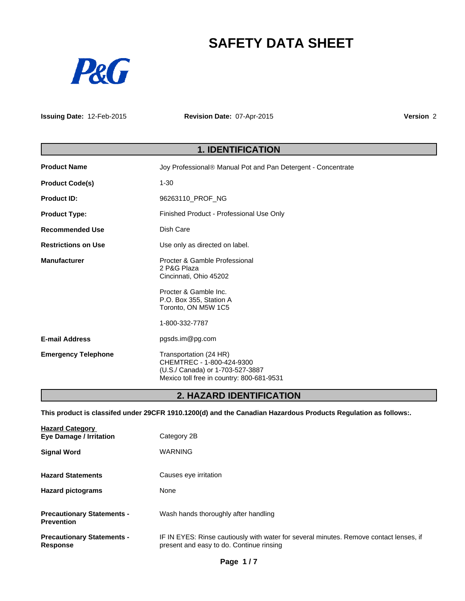# **SAFETY DATA SHEET**



**Issuing Date:** 12-Feb-2015

**Revision Date:** 07-Apr-2015

**Version** 2

# **1. IDENTIFICATION**

| <b>Product Name</b>        | Joy Professional <sup>®</sup> Manual Pot and Pan Detergent - Concentrate                                                             |  |
|----------------------------|--------------------------------------------------------------------------------------------------------------------------------------|--|
| <b>Product Code(s)</b>     | $1 - 30$                                                                                                                             |  |
| <b>Product ID:</b>         | 96263110_PROF_NG                                                                                                                     |  |
| <b>Product Type:</b>       | Finished Product - Professional Use Only                                                                                             |  |
| <b>Recommended Use</b>     | Dish Care                                                                                                                            |  |
| <b>Restrictions on Use</b> | Use only as directed on label.                                                                                                       |  |
| <b>Manufacturer</b>        | Procter & Gamble Professional<br>2 P&G Plaza<br>Cincinnati, Ohio 45202                                                               |  |
|                            | Procter & Gamble Inc.<br>P.O. Box 355, Station A<br>Toronto, ON M5W 1C5                                                              |  |
|                            | 1-800-332-7787                                                                                                                       |  |
| <b>E-mail Address</b>      | pgsds.im@pg.com                                                                                                                      |  |
| <b>Emergency Telephone</b> | Transportation (24 HR)<br>CHEMTREC - 1-800-424-9300<br>(U.S./ Canada) or 1-703-527-3887<br>Mexico toll free in country: 800-681-9531 |  |

# **2. HAZARD IDENTIFICATION**

**This product is classifed under 29CFR 1910.1200(d) and the Canadian Hazardous Products Regulation as follows:.**

| <b>Hazard Category</b><br><b>Eye Damage / Irritation</b> | Category 2B                                                                                                                        |
|----------------------------------------------------------|------------------------------------------------------------------------------------------------------------------------------------|
| <b>Signal Word</b>                                       | <b>WARNING</b>                                                                                                                     |
| <b>Hazard Statements</b>                                 | Causes eye irritation                                                                                                              |
| <b>Hazard pictograms</b>                                 | None                                                                                                                               |
| <b>Precautionary Statements -</b><br><b>Prevention</b>   | Wash hands thoroughly after handling                                                                                               |
| <b>Precautionary Statements -</b><br><b>Response</b>     | IF IN EYES: Rinse cautiously with water for several minutes. Remove contact lenses, if<br>present and easy to do. Continue rinsing |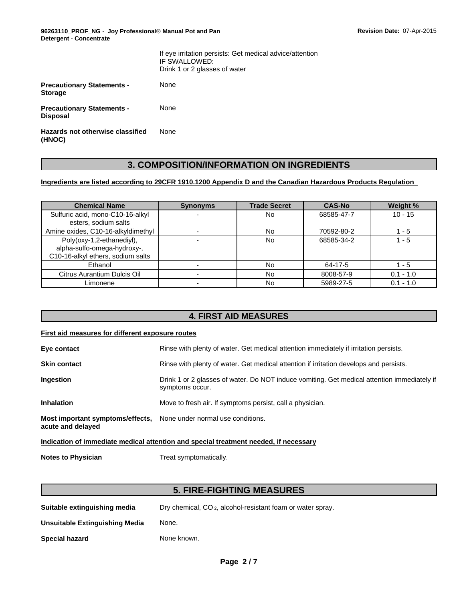**96263110\_PROF\_NG** - **Joy ProfessionalÒ Manual Pot and Pan Detergent - Concentrate**

|                                                      | If eye irritation persists: Get medical advice/attention<br>IF SWALLOWED:<br>Drink 1 or 2 glasses of water |
|------------------------------------------------------|------------------------------------------------------------------------------------------------------------|
| <b>Precautionary Statements -</b><br><b>Storage</b>  | None                                                                                                       |
| <b>Precautionary Statements -</b><br><b>Disposal</b> | None                                                                                                       |
| Hazards not otherwise classified<br>(HNOC)           | None                                                                                                       |

# **3. COMPOSITION/INFORMATION ON INGREDIENTS**

### **Ingredients are listed according to 29CFR 1910.1200 Appendix D and the Canadian Hazardous Products Regulation**

| <b>Chemical Name</b>               | <b>Synonyms</b> | <b>Trade Secret</b> | <b>CAS-No</b> | Weight %    |
|------------------------------------|-----------------|---------------------|---------------|-------------|
| Sulfuric acid, mono-C10-16-alkyl   |                 | No                  | 68585-47-7    | $10 - 15$   |
| esters, sodium salts               |                 |                     |               |             |
| Amine oxides, C10-16-alkyldimethyl |                 | No                  | 70592-80-2    | . - 5       |
| Poly(oxy-1,2-ethanediyl),          |                 | No                  | 68585-34-2    | l - 5       |
| alpha-sulfo-omega-hydroxy-,        |                 |                     |               |             |
| C10-16-alkyl ethers, sodium salts  |                 |                     |               |             |
| Ethanol                            |                 | No                  | 64-17-5       | - 5         |
| Citrus Aurantium Dulcis Oil        |                 | No                  | 8008-57-9     | $0.1 - 1.0$ |
| Limonene                           |                 | No                  | 5989-27-5     | $0.1 - 1.0$ |

# **4. FIRST AID MEASURES**

### **First aid measures for different exposure routes**

| Eye contact                                                                             | Rinse with plenty of water. Get medical attention immediately if irritation persists.                          |  |  |
|-----------------------------------------------------------------------------------------|----------------------------------------------------------------------------------------------------------------|--|--|
| <b>Skin contact</b>                                                                     | Rinse with plenty of water. Get medical attention if irritation develops and persists.                         |  |  |
| Ingestion                                                                               | Drink 1 or 2 glasses of water. Do NOT induce vomiting. Get medical attention immediately if<br>symptoms occur. |  |  |
| <b>Inhalation</b>                                                                       | Move to fresh air. If symptoms persist, call a physician.                                                      |  |  |
| Most important symptoms/effects, None under normal use conditions.<br>acute and delayed |                                                                                                                |  |  |
| Indication of immediate medical attention and special treatment needed, if necessary    |                                                                                                                |  |  |

**Notes to Physician** Treat symptomatically.

# **5. FIRE-FIGHTING MEASURES**

| Suitable extinguishing media | Dry chemical, CO <sub>2</sub> , alcohol-resistant foam or water spray. |
|------------------------------|------------------------------------------------------------------------|
|                              |                                                                        |

**Unsuitable Extinguishing Media** None.

**Special hazard** None known.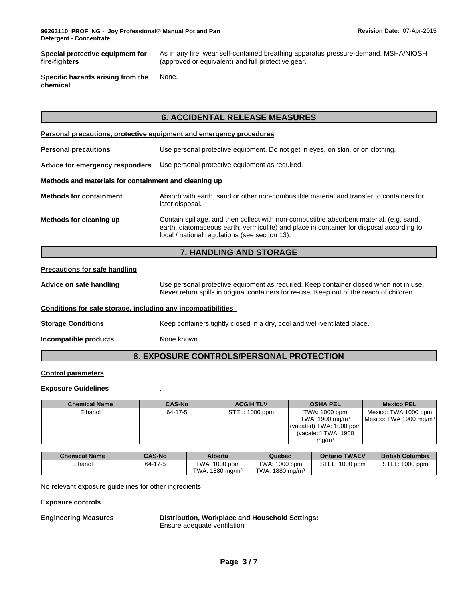**Special protective equipment for fire-fighters** As in any fire, wear self-contained breathing apparatus pressure-demand, MSHA/NIOSH (approved or equivalent) and full protective gear.

**Specific hazards arising from the chemical** None.

# **6. ACCIDENTAL RELEASE MEASURES**

| Personal precautions, protective equipment and emergency procedures |                                                                                                                                                                                                                                       |  |  |  |
|---------------------------------------------------------------------|---------------------------------------------------------------------------------------------------------------------------------------------------------------------------------------------------------------------------------------|--|--|--|
| <b>Personal precautions</b>                                         | Use personal protective equipment. Do not get in eyes, on skin, or on clothing.                                                                                                                                                       |  |  |  |
| Advice for emergency responders                                     | Use personal protective equipment as required.                                                                                                                                                                                        |  |  |  |
| Methods and materials for containment and cleaning up               |                                                                                                                                                                                                                                       |  |  |  |
| <b>Methods for containment</b>                                      | Absorb with earth, sand or other non-combustible material and transfer to containers for<br>later disposal.                                                                                                                           |  |  |  |
| Methods for cleaning up                                             | Contain spillage, and then collect with non-combustible absorbent material, (e.g. sand,<br>earth, diatomaceous earth, vermiculite) and place in container for disposal according to<br>local / national regulations (see section 13). |  |  |  |

### **7. HANDLING AND STORAGE**

### **Precautions for safe handling**

**Advice on safe handling** Use personal protective equipment as required. Keep container closed when not in use. Never return spills in original containers for re-use. Keep out of the reach of children.

### **Conditions for safe storage, including any incompatibilities**

**Storage Conditions** Keep containers tightly closed in a dry, cool and well-ventilated place.

**Incompatible products** None known.

# **8. EXPOSURE CONTROLS/PERSONAL PROTECTION**

### **Control parameters**

### **Exposure Guidelines** .

| <b>Chemical Name</b> | <b>CAS-No</b> | <b>ACGIH TLV</b> | <b>OSHA PEL</b>            | <b>Mexico PEL</b>                  |
|----------------------|---------------|------------------|----------------------------|------------------------------------|
| Ethanol              | 64-17-5       | STEL: 1000 ppm   | TWA: 1000 ppm              | Mexico: TWA 1000 ppm               |
|                      |               |                  | TWA: $1900 \text{ mg/m}^3$ | Mexico: TWA 1900 mg/m <sup>3</sup> |
|                      |               |                  | (vacated) TWA: $1000$ ppm  |                                    |
|                      |               |                  | (vacated) TWA: 1900        |                                    |
|                      |               |                  | mq/m <sup>3</sup>          |                                    |

| <b>Chemical Name</b> | <b>CAS-No</b> | <b>Alberta</b>                   | Quebec             | <b>Ontario TWAEV</b> | <b>British Columbia</b> |
|----------------------|---------------|----------------------------------|--------------------|----------------------|-------------------------|
| Ethanol              | 64-17-5       | TWA: 1000 ppm                    | TWA: 1000 ppm      | STEL: 1000 ppm       | STEL: 1000 ppm          |
|                      |               | : 1880 mg/m <sup>3</sup><br>TWA: | TWA: 1880 mg/m $3$ |                      |                         |

No relevant exposure guidelines for other ingredients

### **Exposure controls**

**Engineering Measures Distribution, Workplace and Household Settings:**

Ensure adequate ventilation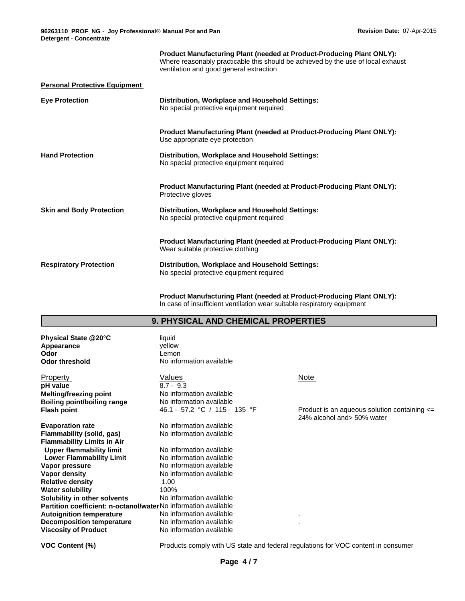|                                      | <b>Product Manufacturing Plant (needed at Product-Producing Plant ONLY):</b><br>Where reasonably practicable this should be achieved by the use of local exhaust<br>ventilation and good general extraction |
|--------------------------------------|-------------------------------------------------------------------------------------------------------------------------------------------------------------------------------------------------------------|
| <b>Personal Protective Equipment</b> |                                                                                                                                                                                                             |
| <b>Eye Protection</b>                | Distribution, Workplace and Household Settings:<br>No special protective equipment required                                                                                                                 |
|                                      | Product Manufacturing Plant (needed at Product-Producing Plant ONLY):<br>Use appropriate eye protection                                                                                                     |
| <b>Hand Protection</b>               | Distribution, Workplace and Household Settings:<br>No special protective equipment required                                                                                                                 |
|                                      | <b>Product Manufacturing Plant (needed at Product-Producing Plant ONLY):</b><br>Protective gloves                                                                                                           |
| <b>Skin and Body Protection</b>      | Distribution, Workplace and Household Settings:<br>No special protective equipment required                                                                                                                 |
|                                      | <b>Product Manufacturing Plant (needed at Product-Producing Plant ONLY):</b><br>Wear suitable protective clothing                                                                                           |
| <b>Respiratory Protection</b>        | Distribution, Workplace and Household Settings:<br>No special protective equipment required                                                                                                                 |

**Product Manufacturing Plant (needed at Product-Producing Plant ONLY):** In case of insufficient ventilation wear suitable respiratory equipment

### **9. PHYSICAL AND CHEMICAL PROPERTIES**

| Physical State @20°C<br>Appearance                                    | liquid<br>vellow              |                              |
|-----------------------------------------------------------------------|-------------------------------|------------------------------|
| Odor                                                                  | Lemon                         |                              |
| <b>Odor threshold</b>                                                 | No information available      |                              |
| Property                                                              | Values                        | Note                         |
| pH value                                                              | $8.7 - 9.3$                   |                              |
| <b>Melting/freezing point</b>                                         | No information available      |                              |
| <b>Boiling point/boiling range</b>                                    | No information available      |                              |
| <b>Flash point</b>                                                    | 46.1 - 57.2 °C / 115 - 135 °F | Product is ar<br>24% alcohol |
| <b>Evaporation rate</b>                                               | No information available      |                              |
| Flammability (solid, gas)                                             | No information available      |                              |
| <b>Flammability Limits in Air</b>                                     |                               |                              |
| <b>Upper flammability limit</b>                                       | No information available      |                              |
| <b>Lower Flammability Limit</b>                                       | No information available      |                              |
| Vapor pressure                                                        | No information available      |                              |
| Vapor density                                                         | No information available      |                              |
| <b>Relative density</b>                                               | 1.00                          |                              |
| <b>Water solubility</b>                                               | 100%                          |                              |
| Solubility in other solvents                                          | No information available      |                              |
| <b>Partition coefficient: n-octanol/waterNo</b> information available |                               |                              |
| <b>Autoignition temperature</b>                                       | No information available      |                              |
| <b>Decomposition temperature</b>                                      | No information available      |                              |
| <b>Viscosity of Product</b>                                           | No information available      |                              |

46.1 - 57.2 °C / 115 - 135 °F Product is an aqueous solution containing <= 24% alcohol and> 50% water

**VOC Content (%)** Products comply with US state and federal regulations for VOC content in consumer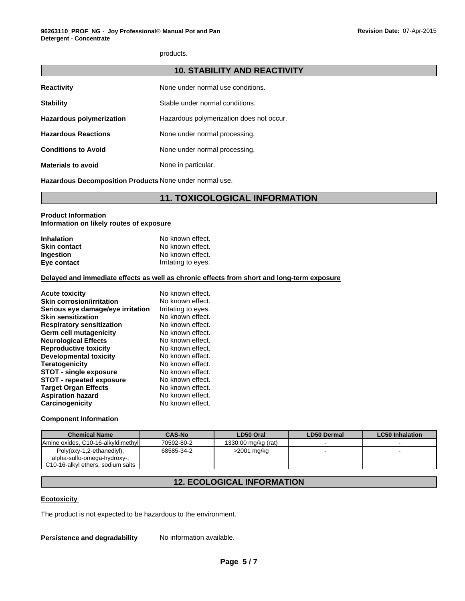products.

| <b>10. STABILITY AND REACTIVITY</b> |                                          |  |
|-------------------------------------|------------------------------------------|--|
| <b>Reactivity</b>                   | None under normal use conditions.        |  |
| <b>Stability</b>                    | Stable under normal conditions.          |  |
| <b>Hazardous polymerization</b>     | Hazardous polymerization does not occur. |  |
| <b>Hazardous Reactions</b>          | None under normal processing.            |  |
| <b>Conditions to Avoid</b>          | None under normal processing.            |  |
| <b>Materials to avoid</b>           | None in particular.                      |  |

**Hazardous Decomposition Products** None under normal use.

# **11. TOXICOLOGICAL INFORMATION**

### **Product Information Information on likely routes of exposure**

| <b>Inhalation</b>   | No known effect.    |
|---------------------|---------------------|
| <b>Skin contact</b> | No known effect.    |
| <b>Ingestion</b>    | No known effect.    |
| Eye contact         | Irritating to eyes. |

### **Delayed and immediate effects as well as chronic effects from short and long-term exposure**

| <b>Acute toxicity</b>             | No known effect.    |
|-----------------------------------|---------------------|
| <b>Skin corrosion/irritation</b>  | No known effect.    |
| Serious eye damage/eye irritation | Irritating to eyes. |
| <b>Skin sensitization</b>         | No known effect.    |
| <b>Respiratory sensitization</b>  | No known effect.    |
| Germ cell mutagenicity            | No known effect.    |
| <b>Neurological Effects</b>       | No known effect.    |
| <b>Reproductive toxicity</b>      | No known effect.    |
| Developmental toxicity            | No known effect.    |
| <b>Teratogenicity</b>             | No known effect.    |
| <b>STOT - single exposure</b>     | No known effect.    |
| <b>STOT - repeated exposure</b>   | No known effect.    |
| <b>Target Organ Effects</b>       | No known effect.    |
| <b>Aspiration hazard</b>          | No known effect.    |
| Carcinogenicity                   | No known effect.    |

### **Component Information**

| <b>Chemical Name</b>                                                                          | <b>CAS-No</b> | LD50 Oral           | <b>LD50 Dermal</b> | LC50 Inhalation |
|-----------------------------------------------------------------------------------------------|---------------|---------------------|--------------------|-----------------|
| Amine oxides. C10-16-alkyldimethyl                                                            | 70592-80-2    | 1330.00 mg/kg (rat) |                    |                 |
| Poly(oxy-1,2-ethanediyl),<br>alpha-sulfo-omega-hydroxy-,<br>C10-16-alkyl ethers, sodium salts | 68585-34-2    | $>2001$ mg/kg       |                    |                 |

# **12. ECOLOGICAL INFORMATION**

### **Ecotoxicity**

The product is not expected to be hazardous to the environment.

**Persistence and degradability** No information available.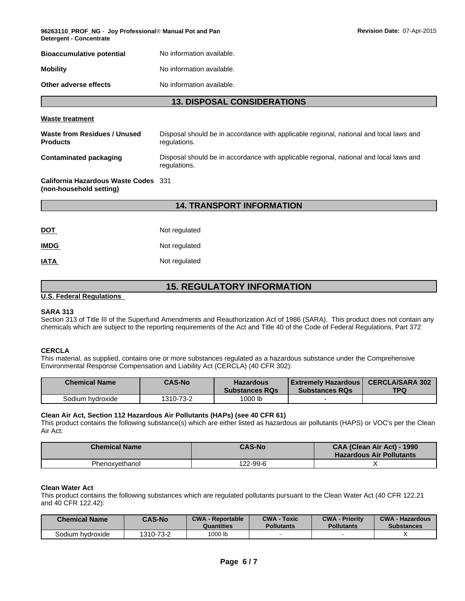| 96263110 PROF NG - Joy Professional® Manual Pot and Pan<br><b>Detergent - Concentrate</b> |                           |  |  |
|-------------------------------------------------------------------------------------------|---------------------------|--|--|
| <b>Bioaccumulative potential</b>                                                          | No information available. |  |  |
| <b>Mobility</b>                                                                           | No information available. |  |  |
| Other adverse effects                                                                     | No information available. |  |  |

**96263110\_PROF\_NG** - **Joy ProfessionalÒ Manual Pot and Pan Revision Date:** 07-Apr-2015

#### **Waste treatment**

| Waste from Residues / Unused<br><b>Products</b> | Disposal should be in accordance with applicable regional, national and local laws and<br>regulations. |
|-------------------------------------------------|--------------------------------------------------------------------------------------------------------|
| <b>Contaminated packaging</b>                   | Disposal should be in accordance with applicable regional, national and local laws and<br>regulations. |
| $\sim$ $\sim$ $\sim$ $\sim$ $\sim$ $\sim$       |                                                                                                        |

#### **California Hazardous Waste Codes** 331 **(non-household setting)**

# **14. TRANSPORT INFORMATION**

| <u>DOT</u>  | Not regulated |
|-------------|---------------|
| <b>IMDG</b> | Not regulated |
| IATA        | Not regulated |

# **15. REGULATORY INFORMATION**

### **U.S. Federal Regulations**

### **SARA 313**

Section 313 of Title III of the Superfund Amendments and Reauthorization Act of 1986 (SARA). This product does not contain any chemicals which are subject to the reporting requirements of the Act and Title 40 of the Code of Federal Regulations, Part 372

### **CERCLA**

This material, as supplied, contains one or more substances regulated as a hazardous substance under the Comprehensive Environmental Response Compensation and Liability Act (CERCLA) (40 CFR 302):

| <b>Chemical Name</b> | <b>CAS-No</b> | <b>Hazardous</b><br><b>Substances RQs</b> | Extremely Hazardous  <br><b>Substances RQs</b> | <b>CERCLA/SARA 302</b><br><b>TPQ</b> |
|----------------------|---------------|-------------------------------------------|------------------------------------------------|--------------------------------------|
| Sodium hvdroxide     | 1310-73-2     | 1000 lb                                   |                                                |                                      |

#### **Clean Air Act, Section 112 Hazardous Air Pollutants (HAPs) (see 40 CFR 61)**

This product contains the following substance(s) which are either listed as hazardous air pollutants (HAPS) or VOC's per the Clean Air Act:

| <b>Chemical Name</b> | <b>CAS-No</b> | CAA (Clean Air Act) - 1990<br><b>Hazardous Air Pollutants</b> |
|----------------------|---------------|---------------------------------------------------------------|
| Phenoxvethanol       | 22-99-6       |                                                               |

### **Clean Water Act**

This product contains the following substances which are regulated pollutants pursuant to the Clean Water Act (40 CFR 122.21 and 40 CFR 122.42):

| <b>Chemical Name</b> | <b>CAS-No</b> | <b>CWA - Reportable</b><br>Quantities | <b>CWA - Toxic</b><br><b>Pollutants</b> | <b>CWA - Priority</b><br><b>Pollutants</b> | <b>CWA - Hazardous</b><br><b>Substances</b> |
|----------------------|---------------|---------------------------------------|-----------------------------------------|--------------------------------------------|---------------------------------------------|
| Sodium hvdroxide     | 1310-73-2     | 1000 lb                               |                                         |                                            |                                             |